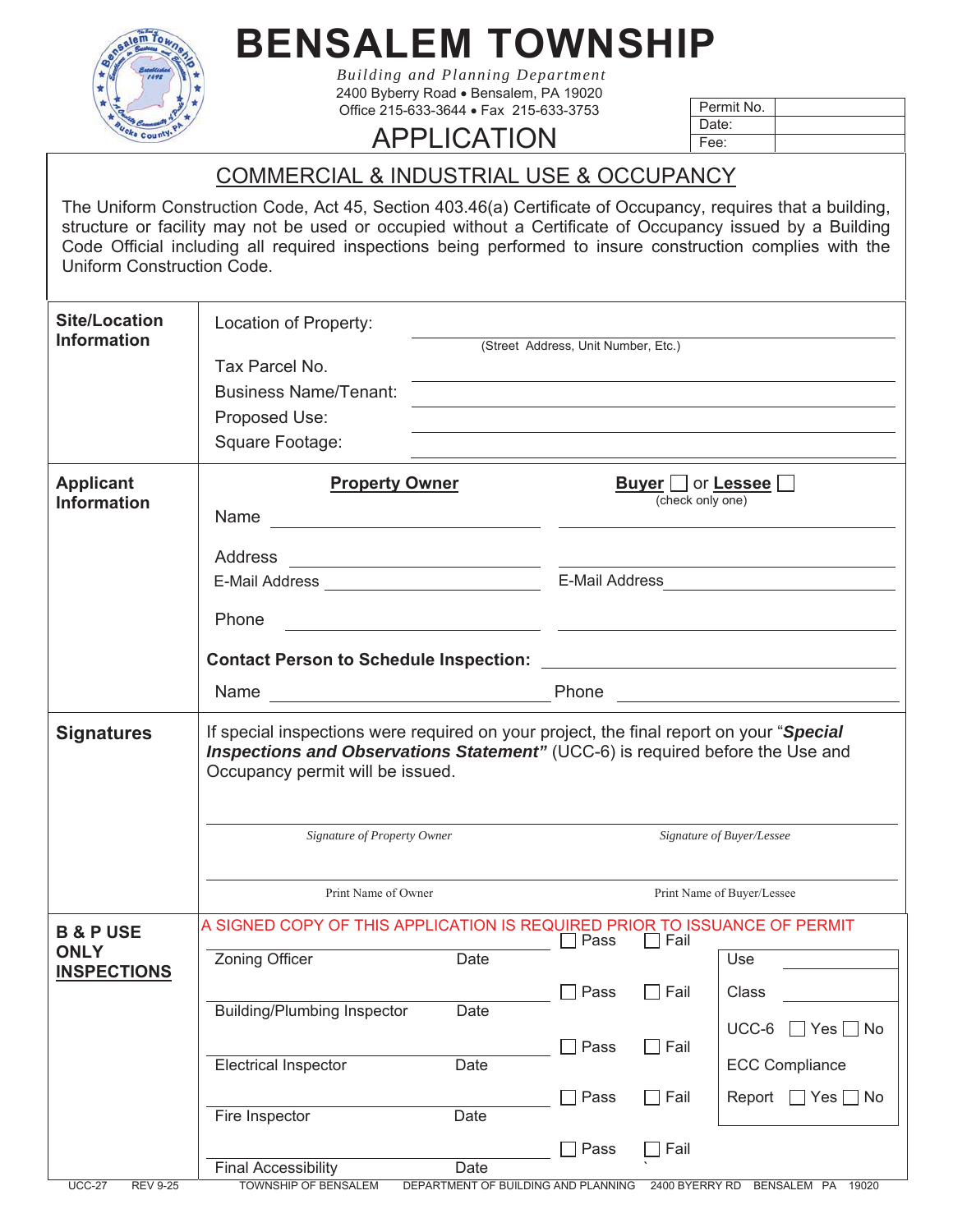

## **BENSALEM TOWNSHIP**

*Building and Planning Department*  2400 Byberry Road · Bensalem, PA 19020 Office 215-633-3644 · Fax 215-633-3753

## APPLICATION

| Permit No. |  |
|------------|--|
| Date:      |  |
| Fee:       |  |

COMMERCIAL & INDUSTRIAL USE & OCCUPANCY

The Uniform Construction Code, Act 45, Section 403.46(a) Certificate of Occupancy, requires that a building, structure or facility may not be used or occupied without a Certificate of Occupancy issued by a Building Code Official including all required inspections being performed to insure construction complies with the Uniform Construction Code.

| <b>Site/Location</b><br><b>Information</b>                | Location of Property:<br>Tax Parcel No.<br><b>Business Name/Tenant:</b><br>Proposed Use:<br>Square Footage:                                                                                                                                                         | the control of the control of the control of the control of the control of<br>(Street Address, Unit Number, Etc.)<br><u> 1989 - Johann Stoff, deutscher Stoff, der Stoff, der Stoff, der Stoff, der Stoff, der Stoff, der Stoff, der S</u> |  |  |
|-----------------------------------------------------------|---------------------------------------------------------------------------------------------------------------------------------------------------------------------------------------------------------------------------------------------------------------------|--------------------------------------------------------------------------------------------------------------------------------------------------------------------------------------------------------------------------------------------|--|--|
| <b>Applicant</b><br><b>Information</b>                    | <b>Property Owner</b><br>Address<br><u> 1989 - Johann Barn, amerikansk politiker (</u><br>Phone                                                                                                                                                                     | <b>Buyer</b>   or <b>Lessee</b><br>(check only one)<br><u> 1989 - Johann John Stone, mars et al. 1989 - John Stone, mars et al. 1989 - John Stone, mars et al. 1989 - John Stone</u>                                                       |  |  |
| <b>Signatures</b>                                         | If special inspections were required on your project, the final report on your "Special<br>Inspections and Observations Statement" (UCC-6) is required before the Use and<br>Occupancy permit will be issued.<br>Signature of Property Owner<br>Print Name of Owner | Signature of Buyer/Lessee<br>Print Name of Buyer/Lessee                                                                                                                                                                                    |  |  |
| <b>B &amp; P USE</b><br><b>ONLY</b><br><b>INSPECTIONS</b> | A SIGNED COPY OF THIS APPLICATION IS REQUIRED PRIOR TO ISSUANCE OF PERMIT<br>Zoning Officer<br>Date<br><b>Building/Plumbing Inspector</b><br>Date                                                                                                                   | $\Box$ Fail<br>Pass<br>Use<br>Pass<br>]Fail<br>Class<br>UCC-6<br>$\Box$ Yes<br>$\Box$ No<br>Pass<br>$\Box$ Fail                                                                                                                            |  |  |
| <b>UCC-27</b><br><b>REV 9-25</b>                          | <b>Electrical Inspector</b><br>Date<br>Date<br>Fire Inspector<br><b>Final Accessibility</b><br>Date<br><b>TOWNSHIP OF BENSALEM</b><br>DEPARTMENT OF BUILDING AND PLANNING                                                                                           | <b>ECC Compliance</b><br>$\Box$ Fail<br>Pass<br>Report $\Box$ Yes $\Box$ No<br>Pass<br>$\Box$ Fail<br>2400 BYERRY RD<br>BENSALEM PA<br>19020                                                                                               |  |  |